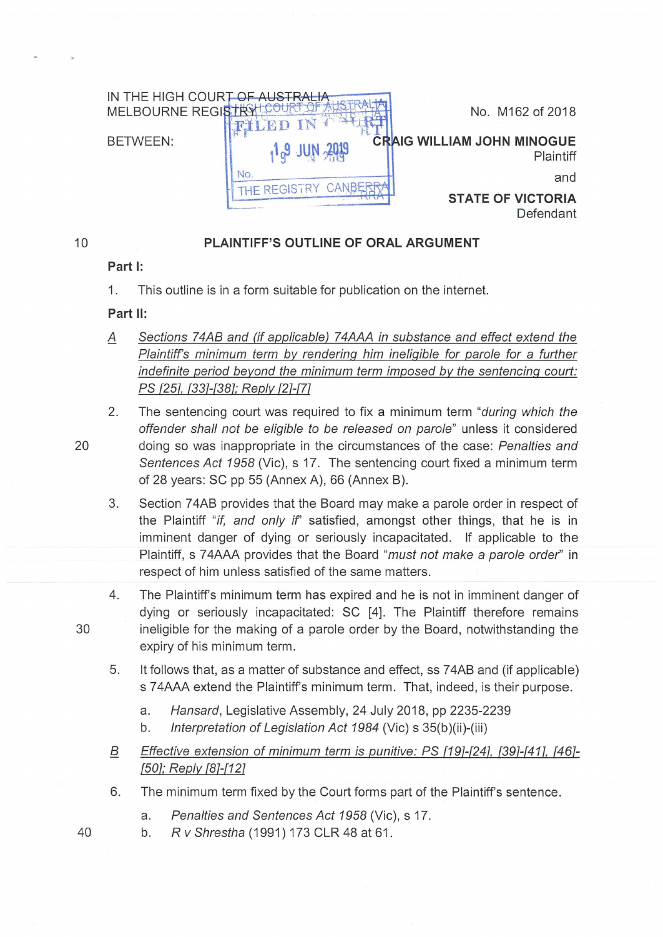

## **PLAINTIFF'S OUTLINE OF ORAL ARGUMENT**

## Part I:

1. This outline is in a form suitable for publication on the internet.

## **Part** II:

- A Sections 74AB and (if applicable) 74AAA in substance and effect extend the Plaintiff's minimum term by rendering him ineligible for parole for a further indefinite period beyond the minimum term imposed by the sentencing court: PS {251, {331-(381; Reply {21-{71
- 2. The sentencing court was required to fix a minimum term "*during which the* offender shall not be eligible to be released on parole" unless it considered 20 doing so was inappropriate in the circumstances of the case: Penalties and Sentences Act 1958 (Vic), s 17. The sentencing court fixed a minimum term of 28 years: SC pp 55 (Annex A), 66 (Annex B).
	- 3. Section 7 4AB provides that the Board may make a parole order in respect of the Plaintiff "if, and only if" satisfied, amongst other things, that he is in imminent danger of dying or seriously incapacitated. If applicable to the Plaintiff, s 74AAA provides that the Board "must not make a parole order" in respect of him unless satisfied of the same matters.
- 4. The Plaintiff's minimum term has expired and he is not in imminent danger of dying or seriously incapacitated: SC [4]. The Plaintiff therefore remains 30 ineligible for the making of a parole order by the Board, notwithstanding the expiry of his minimum term.
	- 5. It follows that, as a matter of substance and effect, ss 7 4AB and (if applicable) s 74AAA extend the Plaintiff's minimum term. That, indeed, is their purpose.
		- a. Hansard, Legislative Assembly, 24 July 2018, pp 2235-2239
		- b. Interpretation of Legislation Act 1984 (Vic) s 35(b)(ii)-(iii)
	- B Effective extension of minimum term is punitive: PS {191-(241, {391-(411, {461- (501; Reply f81-f121
	- 6. The minimum term fixed by the Court forms part of the Plaintiff's sentence.
		- a. Penalties and Sentences Act 1958 (Vic), s 17.
- 40 b. R v Shrestha (1991) 173 CLR 48 at 61.

10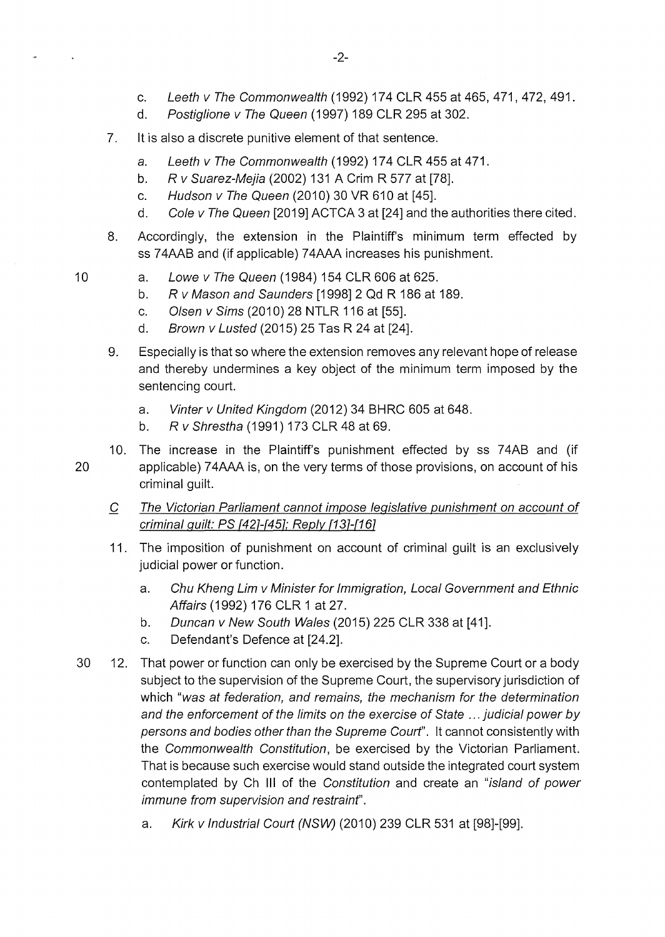- d. Postiglione v The Queen (1997) 189 CLR 295 at 302.
- 7. It is also a discrete punitive element of that sentence.
	- a. Leeth v The Commonwealth (1992) 174 CLR 455 at 471.
	- b. R v Suarez-Mejia (2002) 131 A Crim R 577 at [78].
	- c. Hudson v The Queen (2010) 30 VR 610 at [45].
	- d. Cole v The Queen [2019] ACTCA 3 at [24] and the authorities there cited.
- 8. Accordingly, the extension in the Plaintiff's minimum term effected by ss 74AAB and (if applicable) 74AAA increases his punishment.
- 10 a. Lowe v The Queen (1984) 154 CLR 606 at 625.
	- b. R v Mason and Saunders [1998] 2 Qd R 186 at 189.
	- c. Olsen v Sims (2010) 28 NTLR 116 at [55].
	- d. Brown v Lusted (2015) 25 Tas R 24 at [24].
	- 9. Especially is that so where the extension removes any relevant hope of release and thereby undermines a key object of the minimum term imposed by the sentencing court.
		- a. Vinter v United Kingdom (2012) 34 BHRC 605 at 648.
		- b. R v Shrestha (1991) 173 CLR 48 at 69.
- 10. The increase in the Plaintiff's punishment effected by ss 7 4AB and (if 20 applicable) 7 4AAA is, on the very terms of those provisions, on account of his criminal guilt.
	- C The Victorian Parliament cannot impose legislative punishment on account of criminal guilt: PS [42]-[45]; Reply [13]-[16]
	- 11. The imposition of punishment on account of criminal guilt is an exclusively judicial power or function.
		- a. Chu Kheng Lim v Minister for Immigration, Local Government and Ethnic Affairs (1992) 176 CLR 1 at 27.
		- b. Duncan v New South Wales (2015) 225 CLR 338 at [41 ].
		- c. Defendant's Defence at [24.2].
- 30 12. That power or function can only be exercised by the Supreme Court or a body subject to the supervision of the Supreme Court, the supervisory jurisdiction of which "was at federation, and remains, the mechanism for the determination and the enforcement of the limits on the exercise of State ... judicial power by persons and bodies other than the Supreme Courf'. It cannot consistently with the Commonwealth Constitution, be exercised by the Victorian Parliament. That is because such exercise would stand outside the integrated court system contemplated by Ch Ill of the Constitution and create an "island of power immune from supervision and restrainf'.
	- a. Kirk v Industrial Court (NSW) (2010) 239 CLR 531 at [98]-[99].